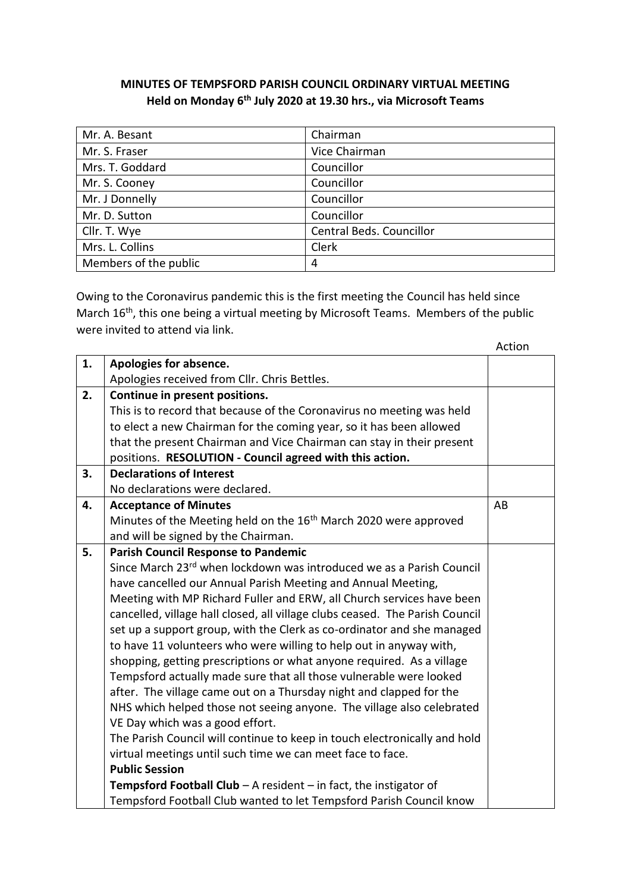## **MINUTES OF TEMPSFORD PARISH COUNCIL ORDINARY VIRTUAL MEETING Held on Monday 6th July 2020 at 19.30 hrs., via Microsoft Teams**

| Mr. A. Besant         | Chairman                 |
|-----------------------|--------------------------|
| Mr. S. Fraser         | Vice Chairman            |
| Mrs. T. Goddard       | Councillor               |
| Mr. S. Cooney         | Councillor               |
| Mr. J Donnelly        | Councillor               |
| Mr. D. Sutton         | Councillor               |
| Cllr. T. Wye          | Central Beds. Councillor |
| Mrs. L. Collins       | Clerk                    |
| Members of the public | 4                        |

Owing to the Coronavirus pandemic this is the first meeting the Council has held since March 16<sup>th</sup>, this one being a virtual meeting by Microsoft Teams. Members of the public were invited to attend via link.

|    |                                                                                  | Action |
|----|----------------------------------------------------------------------------------|--------|
| 1. | Apologies for absence.                                                           |        |
|    | Apologies received from Cllr. Chris Bettles.                                     |        |
| 2. | Continue in present positions.                                                   |        |
|    | This is to record that because of the Coronavirus no meeting was held            |        |
|    | to elect a new Chairman for the coming year, so it has been allowed              |        |
|    | that the present Chairman and Vice Chairman can stay in their present            |        |
|    | positions. RESOLUTION - Council agreed with this action.                         |        |
| 3. | <b>Declarations of Interest</b>                                                  |        |
|    | No declarations were declared.                                                   |        |
| 4. | <b>Acceptance of Minutes</b>                                                     | AB     |
|    | Minutes of the Meeting held on the 16 <sup>th</sup> March 2020 were approved     |        |
|    | and will be signed by the Chairman.                                              |        |
| 5. | <b>Parish Council Response to Pandemic</b>                                       |        |
|    | Since March 23 <sup>rd</sup> when lockdown was introduced we as a Parish Council |        |
|    | have cancelled our Annual Parish Meeting and Annual Meeting,                     |        |
|    | Meeting with MP Richard Fuller and ERW, all Church services have been            |        |
|    | cancelled, village hall closed, all village clubs ceased. The Parish Council     |        |
|    | set up a support group, with the Clerk as co-ordinator and she managed           |        |
|    | to have 11 volunteers who were willing to help out in anyway with,               |        |
|    | shopping, getting prescriptions or what anyone required. As a village            |        |
|    | Tempsford actually made sure that all those vulnerable were looked               |        |
|    | after. The village came out on a Thursday night and clapped for the              |        |
|    | NHS which helped those not seeing anyone. The village also celebrated            |        |
|    | VE Day which was a good effort.                                                  |        |
|    | The Parish Council will continue to keep in touch electronically and hold        |        |
|    | virtual meetings until such time we can meet face to face.                       |        |
|    | <b>Public Session</b>                                                            |        |
|    | <b>Tempsford Football Club</b> $-$ A resident $-$ in fact, the instigator of     |        |
|    | Tempsford Football Club wanted to let Tempsford Parish Council know              |        |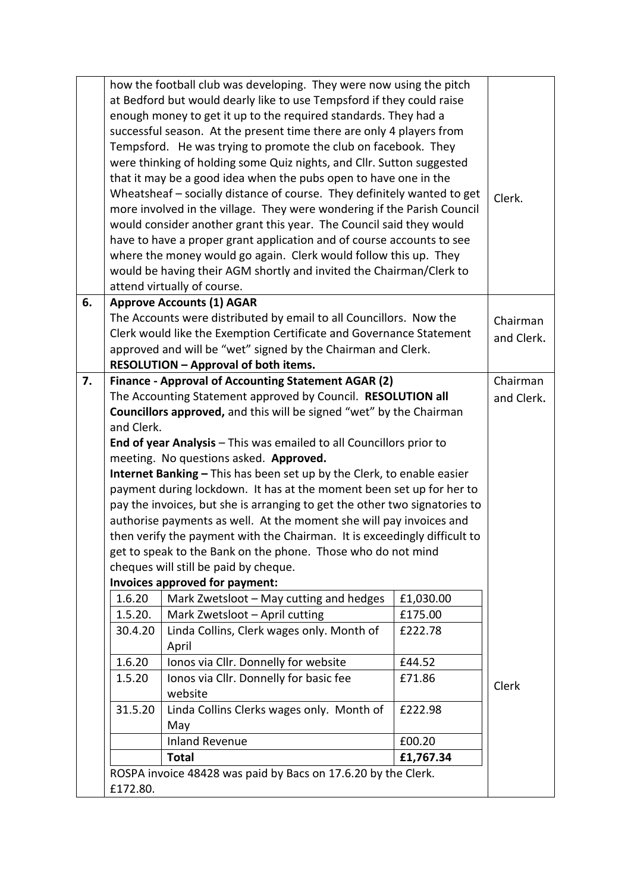|    |                                                                                                                     | how the football club was developing. They were now using the pitch<br>at Bedford but would dearly like to use Tempsford if they could raise<br>enough money to get it up to the required standards. They had a<br>successful season. At the present time there are only 4 players from<br>Tempsford. He was trying to promote the club on facebook. They<br>were thinking of holding some Quiz nights, and Cllr. Sutton suggested<br>that it may be a good idea when the pubs open to have one in the<br>Wheatsheaf - socially distance of course. They definitely wanted to get<br>more involved in the village. They were wondering if the Parish Council<br>would consider another grant this year. The Council said they would<br>have to have a proper grant application and of course accounts to see<br>where the money would go again. Clerk would follow this up. They<br>would be having their AGM shortly and invited the Chairman/Clerk to<br>attend virtually of course. |           | Clerk.     |
|----|---------------------------------------------------------------------------------------------------------------------|----------------------------------------------------------------------------------------------------------------------------------------------------------------------------------------------------------------------------------------------------------------------------------------------------------------------------------------------------------------------------------------------------------------------------------------------------------------------------------------------------------------------------------------------------------------------------------------------------------------------------------------------------------------------------------------------------------------------------------------------------------------------------------------------------------------------------------------------------------------------------------------------------------------------------------------------------------------------------------------|-----------|------------|
| 6. |                                                                                                                     | <b>Approve Accounts (1) AGAR</b>                                                                                                                                                                                                                                                                                                                                                                                                                                                                                                                                                                                                                                                                                                                                                                                                                                                                                                                                                       |           |            |
|    |                                                                                                                     | The Accounts were distributed by email to all Councillors. Now the                                                                                                                                                                                                                                                                                                                                                                                                                                                                                                                                                                                                                                                                                                                                                                                                                                                                                                                     |           | Chairman   |
|    |                                                                                                                     | Clerk would like the Exemption Certificate and Governance Statement                                                                                                                                                                                                                                                                                                                                                                                                                                                                                                                                                                                                                                                                                                                                                                                                                                                                                                                    |           | and Clerk. |
|    | approved and will be "wet" signed by the Chairman and Clerk.                                                        |                                                                                                                                                                                                                                                                                                                                                                                                                                                                                                                                                                                                                                                                                                                                                                                                                                                                                                                                                                                        |           |            |
| 7. |                                                                                                                     | <b>RESOLUTION - Approval of both items.</b>                                                                                                                                                                                                                                                                                                                                                                                                                                                                                                                                                                                                                                                                                                                                                                                                                                                                                                                                            |           | Chairman   |
|    | Finance - Approval of Accounting Statement AGAR (2)<br>The Accounting Statement approved by Council. RESOLUTION all |                                                                                                                                                                                                                                                                                                                                                                                                                                                                                                                                                                                                                                                                                                                                                                                                                                                                                                                                                                                        |           | and Clerk. |
|    | Councillors approved, and this will be signed "wet" by the Chairman                                                 |                                                                                                                                                                                                                                                                                                                                                                                                                                                                                                                                                                                                                                                                                                                                                                                                                                                                                                                                                                                        |           |            |
|    | and Clerk.                                                                                                          |                                                                                                                                                                                                                                                                                                                                                                                                                                                                                                                                                                                                                                                                                                                                                                                                                                                                                                                                                                                        |           |            |
|    |                                                                                                                     | End of year Analysis - This was emailed to all Councillors prior to                                                                                                                                                                                                                                                                                                                                                                                                                                                                                                                                                                                                                                                                                                                                                                                                                                                                                                                    |           |            |
|    | meeting. No questions asked. Approved.                                                                              |                                                                                                                                                                                                                                                                                                                                                                                                                                                                                                                                                                                                                                                                                                                                                                                                                                                                                                                                                                                        |           |            |
|    | Internet Banking - This has been set up by the Clerk, to enable easier                                              |                                                                                                                                                                                                                                                                                                                                                                                                                                                                                                                                                                                                                                                                                                                                                                                                                                                                                                                                                                                        |           |            |
|    | payment during lockdown. It has at the moment been set up for her to                                                |                                                                                                                                                                                                                                                                                                                                                                                                                                                                                                                                                                                                                                                                                                                                                                                                                                                                                                                                                                                        |           |            |
|    |                                                                                                                     | pay the invoices, but she is arranging to get the other two signatories to                                                                                                                                                                                                                                                                                                                                                                                                                                                                                                                                                                                                                                                                                                                                                                                                                                                                                                             |           |            |
|    | authorise payments as well. At the moment she will pay invoices and                                                 |                                                                                                                                                                                                                                                                                                                                                                                                                                                                                                                                                                                                                                                                                                                                                                                                                                                                                                                                                                                        |           |            |
|    | then verify the payment with the Chairman. It is exceedingly difficult to                                           |                                                                                                                                                                                                                                                                                                                                                                                                                                                                                                                                                                                                                                                                                                                                                                                                                                                                                                                                                                                        |           |            |
|    | get to speak to the Bank on the phone. Those who do not mind<br>cheques will still be paid by cheque.               |                                                                                                                                                                                                                                                                                                                                                                                                                                                                                                                                                                                                                                                                                                                                                                                                                                                                                                                                                                                        |           |            |
|    |                                                                                                                     | Invoices approved for payment:                                                                                                                                                                                                                                                                                                                                                                                                                                                                                                                                                                                                                                                                                                                                                                                                                                                                                                                                                         |           |            |
|    | 1.6.20                                                                                                              | Mark Zwetsloot - May cutting and hedges                                                                                                                                                                                                                                                                                                                                                                                                                                                                                                                                                                                                                                                                                                                                                                                                                                                                                                                                                | £1,030.00 |            |
|    | 1.5.20.                                                                                                             | Mark Zwetsloot - April cutting                                                                                                                                                                                                                                                                                                                                                                                                                                                                                                                                                                                                                                                                                                                                                                                                                                                                                                                                                         | £175.00   |            |
|    | 30.4.20                                                                                                             | Linda Collins, Clerk wages only. Month of                                                                                                                                                                                                                                                                                                                                                                                                                                                                                                                                                                                                                                                                                                                                                                                                                                                                                                                                              | £222.78   |            |
|    |                                                                                                                     | April                                                                                                                                                                                                                                                                                                                                                                                                                                                                                                                                                                                                                                                                                                                                                                                                                                                                                                                                                                                  |           |            |
|    | 1.6.20                                                                                                              | Ionos via Cllr. Donnelly for website                                                                                                                                                                                                                                                                                                                                                                                                                                                                                                                                                                                                                                                                                                                                                                                                                                                                                                                                                   | £44.52    |            |
|    | 1.5.20                                                                                                              | Ionos via Cllr. Donnelly for basic fee                                                                                                                                                                                                                                                                                                                                                                                                                                                                                                                                                                                                                                                                                                                                                                                                                                                                                                                                                 | £71.86    | Clerk      |
|    |                                                                                                                     | website                                                                                                                                                                                                                                                                                                                                                                                                                                                                                                                                                                                                                                                                                                                                                                                                                                                                                                                                                                                |           |            |
|    | 31.5.20                                                                                                             | Linda Collins Clerks wages only. Month of                                                                                                                                                                                                                                                                                                                                                                                                                                                                                                                                                                                                                                                                                                                                                                                                                                                                                                                                              | £222.98   |            |
|    |                                                                                                                     | May<br><b>Inland Revenue</b>                                                                                                                                                                                                                                                                                                                                                                                                                                                                                                                                                                                                                                                                                                                                                                                                                                                                                                                                                           | £00.20    |            |
|    |                                                                                                                     | <b>Total</b>                                                                                                                                                                                                                                                                                                                                                                                                                                                                                                                                                                                                                                                                                                                                                                                                                                                                                                                                                                           | £1,767.34 |            |
|    |                                                                                                                     | ROSPA invoice 48428 was paid by Bacs on 17.6.20 by the Clerk.                                                                                                                                                                                                                                                                                                                                                                                                                                                                                                                                                                                                                                                                                                                                                                                                                                                                                                                          |           |            |
|    | £172.80.                                                                                                            |                                                                                                                                                                                                                                                                                                                                                                                                                                                                                                                                                                                                                                                                                                                                                                                                                                                                                                                                                                                        |           |            |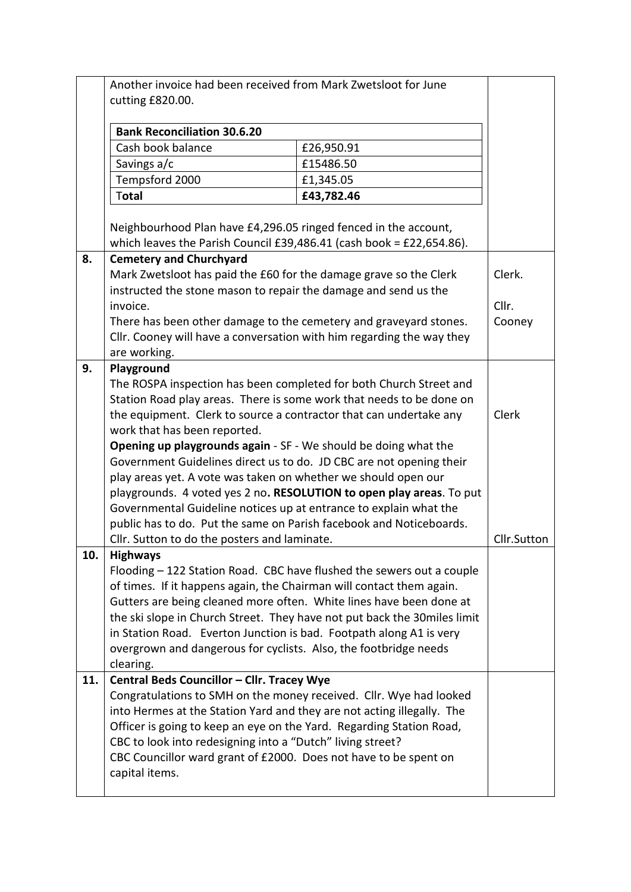|     | Another invoice had been received from Mark Zwetsloot for June<br>cutting £820.00.                                                      |            |             |
|-----|-----------------------------------------------------------------------------------------------------------------------------------------|------------|-------------|
|     | <b>Bank Reconciliation 30.6.20</b>                                                                                                      |            |             |
|     | Cash book balance                                                                                                                       | £26,950.91 |             |
|     | Savings a/c                                                                                                                             | £15486.50  |             |
|     | Tempsford 2000                                                                                                                          | £1,345.05  |             |
|     | Total                                                                                                                                   | £43,782.46 |             |
|     | Neighbourhood Plan have £4,296.05 ringed fenced in the account,<br>which leaves the Parish Council £39,486.41 (cash book = £22,654.86). |            |             |
| 8.  | <b>Cemetery and Churchyard</b>                                                                                                          |            |             |
|     | Mark Zwetsloot has paid the £60 for the damage grave so the Clerk                                                                       |            | Clerk.      |
|     | instructed the stone mason to repair the damage and send us the                                                                         |            |             |
|     | invoice.                                                                                                                                |            | Cllr.       |
|     | There has been other damage to the cemetery and graveyard stones.                                                                       |            | Cooney      |
|     | Cllr. Cooney will have a conversation with him regarding the way they                                                                   |            |             |
| 9.  | are working.                                                                                                                            |            |             |
|     | Playground<br>The ROSPA inspection has been completed for both Church Street and                                                        |            |             |
|     |                                                                                                                                         |            |             |
|     | Station Road play areas. There is some work that needs to be done on<br>Clerk                                                           |            |             |
|     | the equipment. Clerk to source a contractor that can undertake any<br>work that has been reported.                                      |            |             |
|     | <b>Opening up playgrounds again</b> - SF - We should be doing what the                                                                  |            |             |
|     | Government Guidelines direct us to do. JD CBC are not opening their                                                                     |            |             |
|     | play areas yet. A vote was taken on whether we should open our                                                                          |            |             |
|     | playgrounds. 4 voted yes 2 no. RESOLUTION to open play areas. To put                                                                    |            |             |
|     | Governmental Guideline notices up at entrance to explain what the                                                                       |            |             |
|     | public has to do. Put the same on Parish facebook and Noticeboards.                                                                     |            |             |
|     | Cllr. Sutton to do the posters and laminate.                                                                                            |            | Cllr.Sutton |
| 10. | <b>Highways</b>                                                                                                                         |            |             |
|     | Flooding - 122 Station Road. CBC have flushed the sewers out a couple                                                                   |            |             |
|     | of times. If it happens again, the Chairman will contact them again.                                                                    |            |             |
|     | Gutters are being cleaned more often. White lines have been done at                                                                     |            |             |
|     | the ski slope in Church Street. They have not put back the 30 miles limit                                                               |            |             |
|     | in Station Road. Everton Junction is bad. Footpath along A1 is very<br>overgrown and dangerous for cyclists. Also, the footbridge needs |            |             |
|     | clearing.                                                                                                                               |            |             |
| 11. | Central Beds Councillor - Cllr. Tracey Wye                                                                                              |            |             |
|     | Congratulations to SMH on the money received. Cllr. Wye had looked                                                                      |            |             |
|     | into Hermes at the Station Yard and they are not acting illegally. The                                                                  |            |             |
|     | Officer is going to keep an eye on the Yard. Regarding Station Road,                                                                    |            |             |
|     | CBC to look into redesigning into a "Dutch" living street?                                                                              |            |             |
|     | CBC Councillor ward grant of £2000. Does not have to be spent on                                                                        |            |             |
|     | capital items.                                                                                                                          |            |             |
|     |                                                                                                                                         |            |             |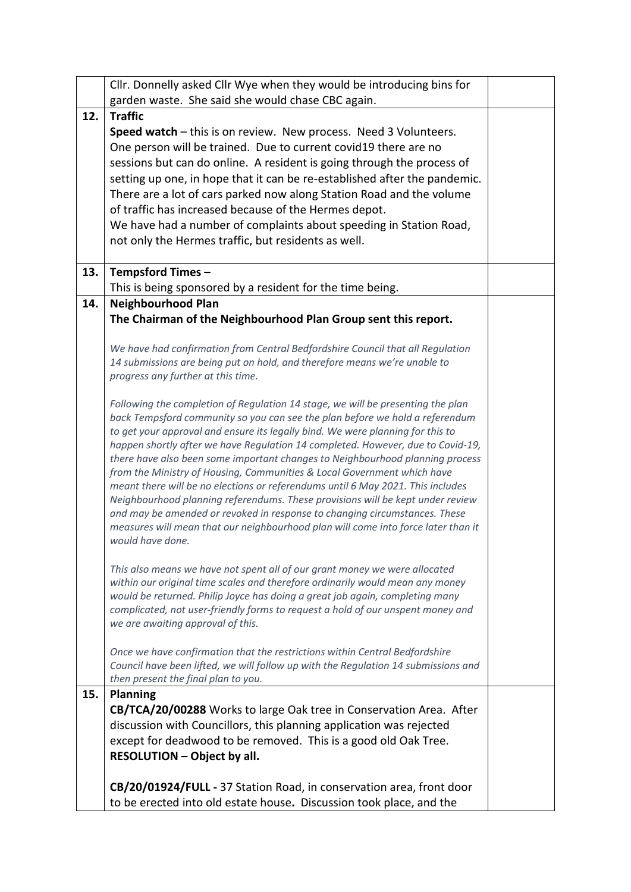|     | Cllr. Donnelly asked Cllr Wye when they would be introducing bins for<br>garden waste. She said she would chase CBC again.                                                                                                                                                                                                                                                                                                                                                                                                                                                                                                                                                                                                                                                                                                                                   |  |
|-----|--------------------------------------------------------------------------------------------------------------------------------------------------------------------------------------------------------------------------------------------------------------------------------------------------------------------------------------------------------------------------------------------------------------------------------------------------------------------------------------------------------------------------------------------------------------------------------------------------------------------------------------------------------------------------------------------------------------------------------------------------------------------------------------------------------------------------------------------------------------|--|
| 12. | <b>Traffic</b>                                                                                                                                                                                                                                                                                                                                                                                                                                                                                                                                                                                                                                                                                                                                                                                                                                               |  |
|     | Speed watch - this is on review. New process. Need 3 Volunteers.<br>One person will be trained. Due to current covid19 there are no<br>sessions but can do online. A resident is going through the process of<br>setting up one, in hope that it can be re-established after the pandemic.<br>There are a lot of cars parked now along Station Road and the volume<br>of traffic has increased because of the Hermes depot.<br>We have had a number of complaints about speeding in Station Road,<br>not only the Hermes traffic, but residents as well.                                                                                                                                                                                                                                                                                                     |  |
| 13. | <b>Tempsford Times -</b>                                                                                                                                                                                                                                                                                                                                                                                                                                                                                                                                                                                                                                                                                                                                                                                                                                     |  |
|     | This is being sponsored by a resident for the time being.                                                                                                                                                                                                                                                                                                                                                                                                                                                                                                                                                                                                                                                                                                                                                                                                    |  |
| 14. | <b>Neighbourhood Plan</b>                                                                                                                                                                                                                                                                                                                                                                                                                                                                                                                                                                                                                                                                                                                                                                                                                                    |  |
|     | The Chairman of the Neighbourhood Plan Group sent this report.                                                                                                                                                                                                                                                                                                                                                                                                                                                                                                                                                                                                                                                                                                                                                                                               |  |
|     | We have had confirmation from Central Bedfordshire Council that all Regulation<br>14 submissions are being put on hold, and therefore means we're unable to<br>progress any further at this time.                                                                                                                                                                                                                                                                                                                                                                                                                                                                                                                                                                                                                                                            |  |
|     | Following the completion of Regulation 14 stage, we will be presenting the plan<br>back Tempsford community so you can see the plan before we hold a referendum<br>to get your approval and ensure its legally bind. We were planning for this to<br>happen shortly after we have Regulation 14 completed. However, due to Covid-19,<br>there have also been some important changes to Neighbourhood planning process<br>from the Ministry of Housing, Communities & Local Government which have<br>meant there will be no elections or referendums until 6 May 2021. This includes<br>Neighbourhood planning referendums. These provisions will be kept under review<br>and may be amended or revoked in response to changing circumstances. These<br>measures will mean that our neighbourhood plan will come into force later than it<br>would have done. |  |
|     | This also means we have not spent all of our grant money we were allocated<br>within our original time scales and therefore ordinarily would mean any money<br>would be returned. Philip Joyce has doing a great job again, completing many<br>complicated, not user-friendly forms to request a hold of our unspent money and<br>we are awaiting approval of this.                                                                                                                                                                                                                                                                                                                                                                                                                                                                                          |  |
|     | Once we have confirmation that the restrictions within Central Bedfordshire<br>Council have been lifted, we will follow up with the Regulation 14 submissions and<br>then present the final plan to you.                                                                                                                                                                                                                                                                                                                                                                                                                                                                                                                                                                                                                                                     |  |
| 15. | <b>Planning</b>                                                                                                                                                                                                                                                                                                                                                                                                                                                                                                                                                                                                                                                                                                                                                                                                                                              |  |
|     | CB/TCA/20/00288 Works to large Oak tree in Conservation Area. After<br>discussion with Councillors, this planning application was rejected                                                                                                                                                                                                                                                                                                                                                                                                                                                                                                                                                                                                                                                                                                                   |  |
|     | except for deadwood to be removed. This is a good old Oak Tree.                                                                                                                                                                                                                                                                                                                                                                                                                                                                                                                                                                                                                                                                                                                                                                                              |  |
|     | <b>RESOLUTION - Object by all.</b>                                                                                                                                                                                                                                                                                                                                                                                                                                                                                                                                                                                                                                                                                                                                                                                                                           |  |
|     |                                                                                                                                                                                                                                                                                                                                                                                                                                                                                                                                                                                                                                                                                                                                                                                                                                                              |  |
|     | CB/20/01924/FULL - 37 Station Road, in conservation area, front door<br>to be erected into old estate house. Discussion took place, and the                                                                                                                                                                                                                                                                                                                                                                                                                                                                                                                                                                                                                                                                                                                  |  |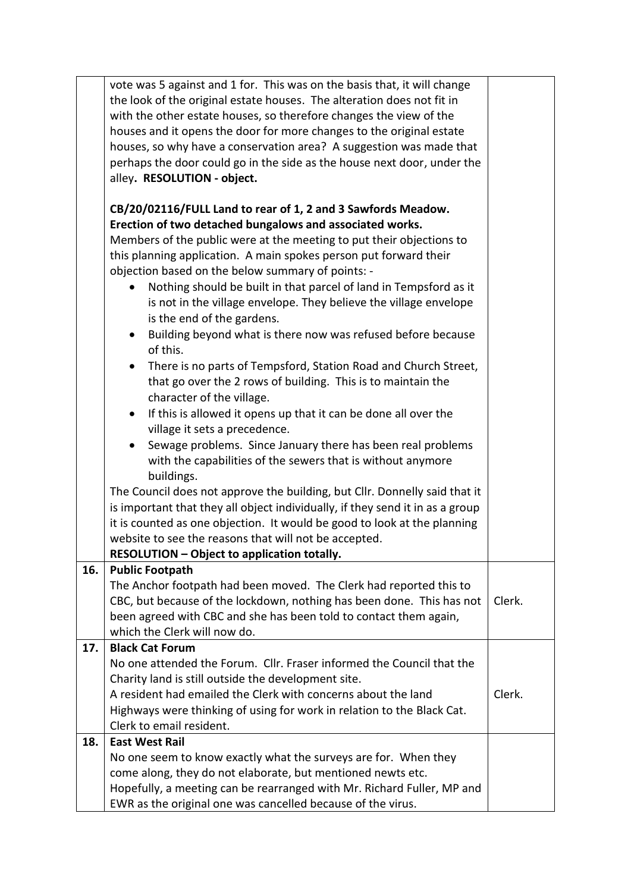|     | vote was 5 against and 1 for. This was on the basis that, it will change                                                                                                                         |        |  |
|-----|--------------------------------------------------------------------------------------------------------------------------------------------------------------------------------------------------|--------|--|
|     | the look of the original estate houses. The alteration does not fit in                                                                                                                           |        |  |
|     | with the other estate houses, so therefore changes the view of the                                                                                                                               |        |  |
|     | houses and it opens the door for more changes to the original estate                                                                                                                             |        |  |
|     | houses, so why have a conservation area? A suggestion was made that                                                                                                                              |        |  |
|     | perhaps the door could go in the side as the house next door, under the                                                                                                                          |        |  |
|     | alley. RESOLUTION - object.                                                                                                                                                                      |        |  |
|     |                                                                                                                                                                                                  |        |  |
|     | CB/20/02116/FULL Land to rear of 1, 2 and 3 Sawfords Meadow.<br>Erection of two detached bungalows and associated works.<br>Members of the public were at the meeting to put their objections to |        |  |
|     | this planning application. A main spokes person put forward their                                                                                                                                |        |  |
|     | objection based on the below summary of points: -                                                                                                                                                |        |  |
|     | Nothing should be built in that parcel of land in Tempsford as it<br>is not in the village envelope. They believe the village envelope<br>is the end of the gardens.                             |        |  |
|     | Building beyond what is there now was refused before because<br>$\bullet$<br>of this.                                                                                                            |        |  |
|     | There is no parts of Tempsford, Station Road and Church Street,<br>that go over the 2 rows of building. This is to maintain the<br>character of the village.                                     |        |  |
|     | If this is allowed it opens up that it can be done all over the<br>$\bullet$                                                                                                                     |        |  |
|     | village it sets a precedence.                                                                                                                                                                    |        |  |
|     | Sewage problems. Since January there has been real problems<br>$\bullet$                                                                                                                         |        |  |
|     | with the capabilities of the sewers that is without anymore                                                                                                                                      |        |  |
|     | buildings.                                                                                                                                                                                       |        |  |
|     | The Council does not approve the building, but Cllr. Donnelly said that it                                                                                                                       |        |  |
|     |                                                                                                                                                                                                  |        |  |
|     | is important that they all object individually, if they send it in as a group                                                                                                                    |        |  |
|     | it is counted as one objection. It would be good to look at the planning                                                                                                                         |        |  |
|     | website to see the reasons that will not be accepted.                                                                                                                                            |        |  |
|     | <b>RESOLUTION - Object to application totally.</b>                                                                                                                                               |        |  |
| 16. | <b>Public Footpath</b>                                                                                                                                                                           |        |  |
|     | The Anchor footpath had been moved. The Clerk had reported this to                                                                                                                               |        |  |
|     | CBC, but because of the lockdown, nothing has been done. This has not                                                                                                                            | Clerk. |  |
|     | been agreed with CBC and she has been told to contact them again,                                                                                                                                |        |  |
|     | which the Clerk will now do.                                                                                                                                                                     |        |  |
| 17. | <b>Black Cat Forum</b>                                                                                                                                                                           |        |  |
|     | No one attended the Forum. Cllr. Fraser informed the Council that the                                                                                                                            |        |  |
|     | Charity land is still outside the development site.                                                                                                                                              |        |  |
|     | A resident had emailed the Clerk with concerns about the land                                                                                                                                    | Clerk. |  |
|     | Highways were thinking of using for work in relation to the Black Cat.                                                                                                                           |        |  |
|     | Clerk to email resident.                                                                                                                                                                         |        |  |
| 18. | <b>East West Rail</b>                                                                                                                                                                            |        |  |
|     | No one seem to know exactly what the surveys are for. When they                                                                                                                                  |        |  |
|     | come along, they do not elaborate, but mentioned newts etc.                                                                                                                                      |        |  |
|     | Hopefully, a meeting can be rearranged with Mr. Richard Fuller, MP and                                                                                                                           |        |  |
|     | EWR as the original one was cancelled because of the virus.                                                                                                                                      |        |  |